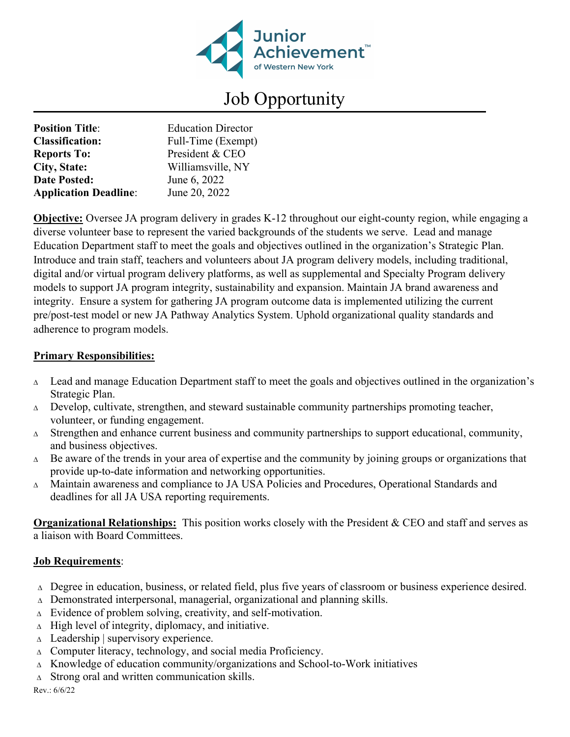

## Job Opportunity

| <b>Position Title:</b>       | <b>Education Director</b> |
|------------------------------|---------------------------|
| <b>Classification:</b>       | Full-Time (Exempt)        |
| <b>Reports To:</b>           | President & CEO           |
| <b>City, State:</b>          | Williamsville, NY         |
| <b>Date Posted:</b>          | June 6, 2022              |
| <b>Application Deadline:</b> | June 20, 2022             |

**Objective:** Oversee JA program delivery in grades K-12 throughout our eight-county region, while engaging a diverse volunteer base to represent the varied backgrounds of the students we serve. Lead and manage Education Department staff to meet the goals and objectives outlined in the organization's Strategic Plan. Introduce and train staff, teachers and volunteers about JA program delivery models, including traditional, digital and/or virtual program delivery platforms, as well as supplemental and Specialty Program delivery models to support JA program integrity, sustainability and expansion. Maintain JA brand awareness and integrity. Ensure a system for gathering JA program outcome data is implemented utilizing the current pre/post-test model or new JA Pathway Analytics System. Uphold organizational quality standards and adherence to program models.

## Primary Responsibilities:

- $\Delta$  Lead and manage Education Department staff to meet the goals and objectives outlined in the organization's Strategic Plan.
- $\Delta$  Develop, cultivate, strengthen, and steward sustainable community partnerships promoting teacher, volunteer, or funding engagement.
- $\Delta$  Strengthen and enhance current business and community partnerships to support educational, community, and business objectives.
- $\Delta$  Be aware of the trends in your area of expertise and the community by joining groups or organizations that provide up-to-date information and networking opportunities.
- Maintain awareness and compliance to JA USA Policies and Procedures, Operational Standards and deadlines for all JA USA reporting requirements.

Organizational Relationships: This position works closely with the President & CEO and staff and serves as a liaison with Board Committees.

## Job Requirements:

- $\Delta$  Degree in education, business, or related field, plus five years of classroom or business experience desired.
- $\triangle$  Demonstrated interpersonal, managerial, organizational and planning skills.
- $\Delta$  Evidence of problem solving, creativity, and self-motivation.
- $\Delta$  High level of integrity, diplomacy, and initiative.
- $\triangle$  Leadership | supervisory experience.
- $\Delta$  Computer literacy, technology, and social media Proficiency.
- $\Delta$  Knowledge of education community/organizations and School-to-Work initiatives
- $\Delta$  Strong oral and written communication skills.
- Rev.: 6/6/22